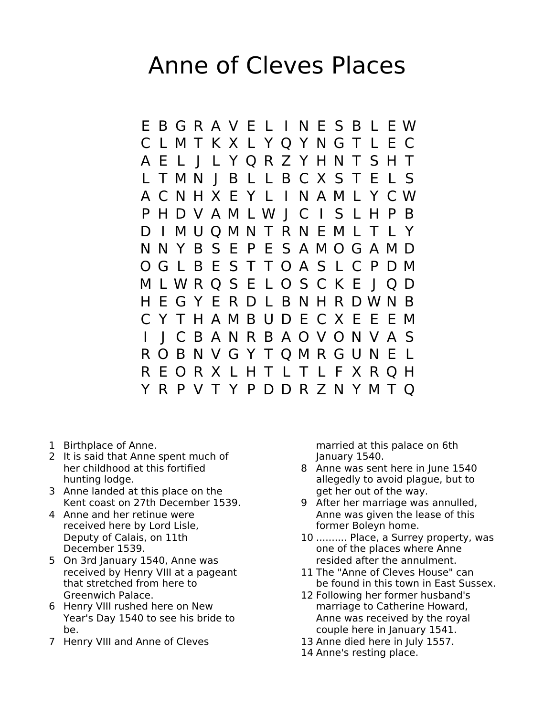## Anne of Cleves Places

E B G R A V E L I N E S B L E W C L M T K X L Y Q Y N G T L E C A E L J L Y Q R Z Y H N T S H T L T M N J B L L B C X S T E L S A C N H X E Y L I N A M L Y C W P H D V A M L W J C I S L H P B D I M U Q M N T R N E M L T L Y N N Y B S E P E S A M O G A M D O G L B E S T T O A S L C P D M M L W R Q S E L O S C K E J Q D H E G Y E R D L B N H R D W N B C Y T H A M B U D E C X E E E M I J C B A N R B A O V O N V A S R O B N V G Y T Q M R G U N E L R E O R X L H T L T L F X R Q H Y R P V T Y P D D R Z N Y M T Q

- 1 Birthplace of Anne.
- 2 It is said that Anne spent much of her childhood at this fortified hunting lodge.
- 3 Anne landed at this place on the Kent coast on 27th December 1539.
- 4 Anne and her retinue were received here by Lord Lisle, Deputy of Calais, on 11th December 1539.
- 5 On 3rd January 1540, Anne was received by Henry VIII at a pageant that stretched from here to Greenwich Palace.
- 6 Henry VIII rushed here on New Year's Day 1540 to see his bride to be.
- 7 Henry VIII and Anne of Cleves

married at this palace on 6th January 1540.

- 8 Anne was sent here in June 1540 allegedly to avoid plague, but to get her out of the way.
- 9 After her marriage was annulled, Anne was given the lease of this former Boleyn home.
- 10 .......... Place, a Surrey property, was one of the places where Anne resided after the annulment.
- 11 The "Anne of Cleves House" can be found in this town in East Sussex.
- 12 Following her former husband's marriage to Catherine Howard, Anne was received by the royal couple here in January 1541.
- 13 Anne died here in July 1557.
- 14 Anne's resting place.